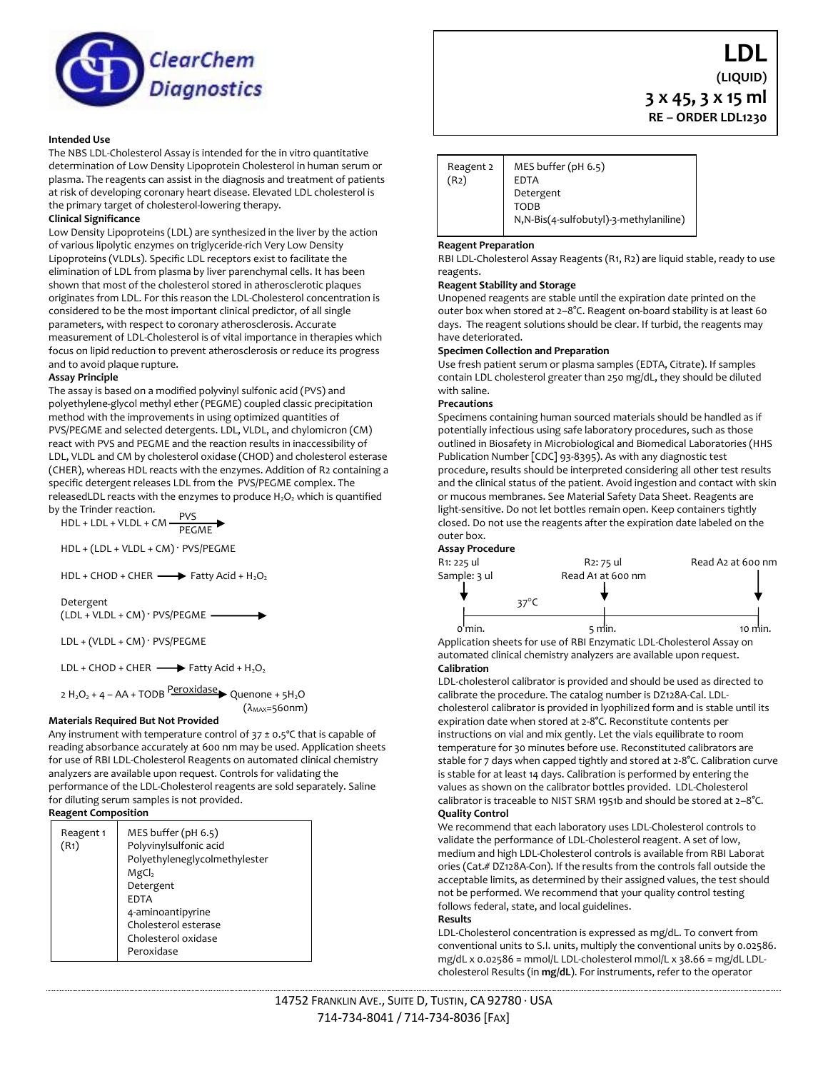

### **Intended Use**

The NBS LDL-Cholesterol Assay is intended for the in vitro quantitative determination of Low Density Lipoprotein Cholesterol in human serum or plasma. The reagents can assist in the diagnosis and treatment of patients at risk of developing coronary heart disease. Elevated LDL cholesterol is the primary target of cholesterol-lowering therapy.

#### **Clinical Significance**

Low Density Lipoproteins (LDL) are synthesized in the liver by the action of various lipolytic enzymes on triglyceride-rich Very Low Density Lipoproteins (VLDLs). Specific LDL receptors exist to facilitate the elimination of LDL from plasma by liver parenchymal cells. It has been shown that most of the cholesterol stored in atherosclerotic plaques originates from LDL. For this reason the LDL-Cholesterol concentration is considered to be the most important clinical predictor, of all single parameters, with respect to coronary atherosclerosis. Accurate measurement of LDL-Cholesterol is of vital importance in therapies which focus on lipid reduction to prevent atherosclerosis or reduce its progress and to avoid plaque rupture.

#### **Assay Principle**

The assay is based on a modified polyvinyl sulfonic acid (PVS) and polyethylene-glycol methyl ether (PEGME) coupled classic precipitation method with the improvements in using optimized quantities of PVS/PEGME and selected detergents. LDL, VLDL, and chylomicron (CM) react with PVS and PEGME and the reaction results in inaccessibility of LDL, VLDL and CM by cholesterol oxidase (CHOD) and cholesterol esterase (CHER), whereas HDL reacts with the enzymes. Addition of R2 containing a specific detergent releases LDL from the PVS/PEGME complex. The releasedLDL reacts with the enzymes to produce  $H_2O_2$  which is quantified by the Trinder reaction.

PVS PEGME HDL + LDL + VLDL + CM

HDL + (LDL + VLDL + CM) ˑ PVS/PEGME

 $HDL + CHOD + CHER$   $\longrightarrow$  Fatty Acid + H<sub>2</sub>O<sub>2</sub>

Detergent

 $(LDL + VLDL + CM)$   $\cdot$  PVS/PEGME -

LDL + (VLDL + CM) ˑ PVS/PEGME

LDL + CHOD + CHER  $\longrightarrow$  Fatty Acid + H<sub>2</sub>O<sub>2</sub>

2 H<sub>2</sub>O<sub>2</sub> + 4 – AA + TODB <sup>P</sup>eroxidase > Quenone + 5H<sub>2</sub>O  $(\lambda_{MAX}=560$ nm)

# **Materials Required But Not Provided**

Any instrument with temperature control of  $37 \pm 0.5$ °C that is capable of reading absorbance accurately at 600 nm may be used. Application sheets for use of RBI LDL-Cholesterol Reagents on automated clinical chemistry analyzers are available upon request. Controls for validating the performance of the LDL-Cholesterol reagents are sold separately. Saline for diluting serum samples is not provided.

# **Reagent Composition**

| Reagent 1<br>(R <sub>1</sub> ) | MES buffer $(\text{pH } 6.5)$<br>Polyvinylsulfonic acid<br>Polyethyleneglycolmethylester<br>MgCl <sub>2</sub><br>Detergent<br><b>EDTA</b><br>4-aminoantipyrine<br>Cholesterol esterase<br>Cholesterol oxidase<br>Peroxidase |
|--------------------------------|-----------------------------------------------------------------------------------------------------------------------------------------------------------------------------------------------------------------------------|
|--------------------------------|-----------------------------------------------------------------------------------------------------------------------------------------------------------------------------------------------------------------------------|

| Reagent 2<br>(R <sub>2</sub> ) | MES buffer (pH 6.5)<br><b>EDTA</b>      |  |
|--------------------------------|-----------------------------------------|--|
|                                | Detergent                               |  |
|                                | <b>TODB</b>                             |  |
|                                | N, N-Bis(4-sulfobutyl)-3-methylaniline) |  |

#### **Reagent Preparation**

RBI LDL-Cholesterol Assay Reagents (R1, R2) are liquid stable, ready to use reagents.

#### **Reagent Stability and Storage**

Unopened reagents are stable until the expiration date printed on the outer box when stored at 2–8°C. Reagent on-board stability is at least 60 days. The reagent solutions should be clear. If turbid, the reagents may have deteriorated.

#### **Specimen Collection and Preparation**

Use fresh patient serum or plasma samples (EDTA, Citrate). If samples contain LDL cholesterol greater than 250 mg/dL, they should be diluted with saline.

## **Precautions**

Specimens containing human sourced materials should be handled as if potentially infectious using safe laboratory procedures, such as those outlined in Biosafety in Microbiological and Biomedical Laboratories (HHS Publication Number [CDC] 93-8395). As with any diagnostic test procedure, results should be interpreted considering all other test results and the clinical status of the patient. Avoid ingestion and contact with skin or mucous membranes. See Material Safety Data Sheet. Reagents are light-sensitive. Do not let bottles remain open. Keep containers tightly closed. Do not use the reagents after the expiration date labeled on the outer box.

# **Assay Procedure**



Application sheets for use of RBI Enzymatic LDL-Cholesterol Assay on automated clinical chemistry analyzers are available upon request. **Calibration** 

LDL-cholesterol calibrator is provided and should be used as directed to calibrate the procedure. The catalog number is DZ128A-Cal. LDLcholesterol calibrator is provided in lyophilized form and is stable until its expiration date when stored at 2-8°C. Reconstitute contents per instructions on vial and mix gently. Let the vials equilibrate to room temperature for 30 minutes before use. Reconstituted calibrators are stable for 7 days when capped tightly and stored at 2-8°C. Calibration curve is stable for at least 14 days. Calibration is performed by entering the values as shown on the calibrator bottles provided. LDL-Cholesterol calibrator is traceable to NIST SRM 1951b and should be stored at 2-8°C. **Quality Control** 

We recommend that each laboratory uses LDL-Cholesterol controls to validate the performance of LDL-Cholesterol reagent. A set of low, medium and high LDL-Cholesterol controls is available from RBI Laborat ories (Cat.# DZ128A-Con). If the results from the controls fall outside the acceptable limits, as determined by their assigned values, the test should not be performed. We recommend that your quality control testing follows federal, state, and local guidelines.

### **Results**

LDL-Cholesterol concentration is expressed as mg/dL. To convert from conventional units to S.I. units, multiply the conventional units by 0.02586. mg/dL x 0.02586 = mmol/L LDL-cholesterol mmol/L x 38.66 = mg/dL LDLcholesterol Results (in **mg/dL**). For instruments, refer to the operator